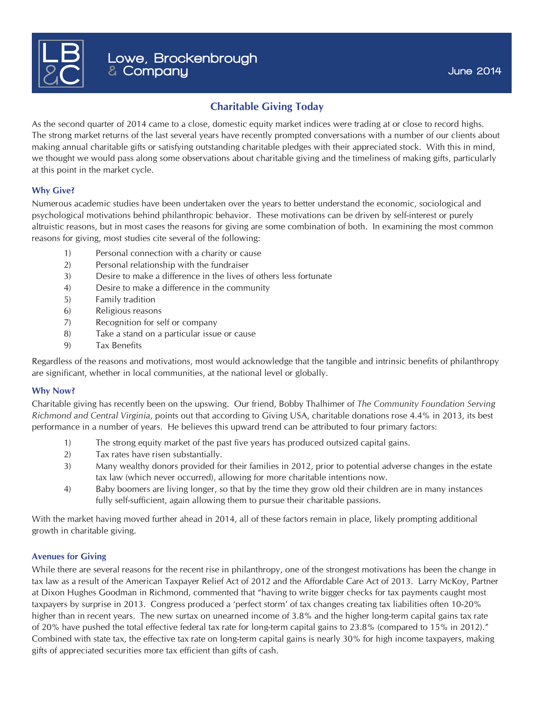

# **Charitable Giving Today**

As the second quarter of 2014 came to a close, domestic equity market indices were trading at or close to record highs. The strong market returns of the last several years have recently prompted conversations with a number of our clients about making annual charitable gifts or satisfying outstanding charitable pledges with their appreciated stock. With this in mind, we thought we would pass along some observations about charitable giving and the timeliness of making gifts, particularly at this point in the market cycle.

## **Why Give?**

Numerous academic studies have been undertaken over the years to better understand the economic, sociological and psychological motivations behind philanthropic behavior. These motivations can be driven by self-interest or purely altruistic reasons, but in most cases the reasons for giving are some combination of both. In examining the most common reasons for giving, most studies cite several of the following:

- 1) Personal connection with a charity or cause
- 2) Personal relationship with the fundraiser
- 3) Desire to make a difference in the lives of others less fortunate
- 4) Desire to make a difference in the community
- 5) Family tradition
- 6) Religious reasons
- 7) Recognition for self or company
- 8) Take a stand on a particular issue or cause
- 9) Tax Benefits

Regardless of the reasons and motivations, most would acknowledge that the tangible and intrinsic benefits of philanthropy are significant, whether in local communities, at the national level or globally.

#### **Why Now?**

Charitable giving has recently been on the upswing. Our friend, Bobby Thalhimer of *The Community Foundation Serving Richmond and Central Virginia*, points out that according to Giving USA, charitable donations rose 4.4% in 2013, its best performance in a number of years. He believes this upward trend can be attributed to four primary factors:

- 1) The strong equity market of the past five years has produced outsized capital gains.
- 2) Tax rates have risen substantially.
- 3) Many wealthy donors provided for their families in 2012, prior to potential adverse changes in the estate tax law (which never occurred), allowing for more charitable intentions now.
- 4) Baby boomers are living longer, so that by the time they grow old their children are in many instances fully self-sufficient, again allowing them to pursue their charitable passions.

With the market having moved further ahead in 2014, all of these factors remain in place, likely prompting additional growth in charitable giving.

## **Avenues for Giving**

While there are several reasons for the recent rise in philanthropy, one of the strongest motivations has been the change in tax law as a result of the American Taxpayer Relief Act of 2012 and the Affordable Care Act of 2013. Larry McKoy, Partner at Dixon Hughes Goodman in Richmond, commented that "having to write bigger checks for tax payments caught most taxpayers by surprise in 2013. Congress produced a 'perfect storm' of tax changes creating tax liabilities often 10-20% higher than in recent years. The new surtax on unearned income of 3.8% and the higher long-term capital gains tax rate of 20% have pushed the total effective federal tax rate for long-term capital gains to 23.8% (compared to 15% in 2012)." Combined with state tax, the effective tax rate on long-term capital gains is nearly 30% for high income taxpayers, making gifts of appreciated securities more tax efficient than gifts of cash.